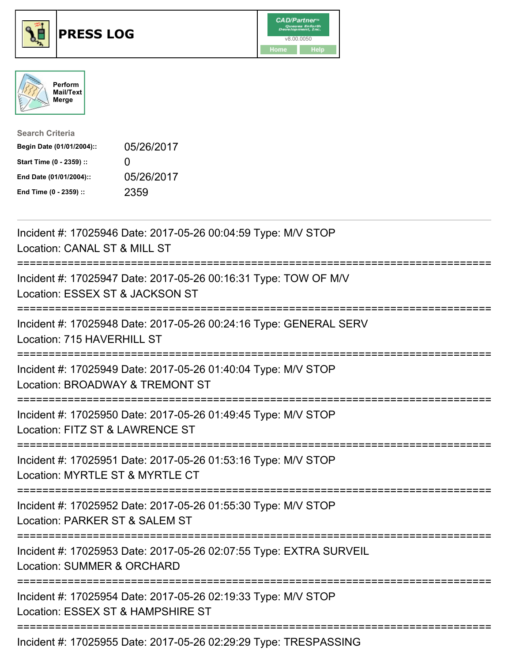





| <b>Search Criteria</b>    |                   |
|---------------------------|-------------------|
| Begin Date (01/01/2004):: | 05/26/2017        |
| Start Time (0 - 2359) ::  | $\mathbf{\Omega}$ |
| End Date (01/01/2004)::   | 05/26/2017        |
| End Time (0 - 2359) ::    | 2359              |

| Incident #: 17025946 Date: 2017-05-26 00:04:59 Type: M/V STOP<br>Location: CANAL ST & MILL ST                                   |
|---------------------------------------------------------------------------------------------------------------------------------|
| Incident #: 17025947 Date: 2017-05-26 00:16:31 Type: TOW OF M/V<br>Location: ESSEX ST & JACKSON ST                              |
| Incident #: 17025948 Date: 2017-05-26 00:24:16 Type: GENERAL SERV<br>Location: 715 HAVERHILL ST<br><u> --------------------</u> |
| Incident #: 17025949 Date: 2017-05-26 01:40:04 Type: M/V STOP<br>Location: BROADWAY & TREMONT ST                                |
| Incident #: 17025950 Date: 2017-05-26 01:49:45 Type: M/V STOP<br>Location: FITZ ST & LAWRENCE ST                                |
| Incident #: 17025951 Date: 2017-05-26 01:53:16 Type: M/V STOP<br>Location: MYRTLE ST & MYRTLE CT                                |
| =========================<br>Incident #: 17025952 Date: 2017-05-26 01:55:30 Type: M/V STOP<br>Location: PARKER ST & SALEM ST    |
| Incident #: 17025953 Date: 2017-05-26 02:07:55 Type: EXTRA SURVEIL<br>Location: SUMMER & ORCHARD                                |
| Incident #: 17025954 Date: 2017-05-26 02:19:33 Type: M/V STOP<br>Location: ESSEX ST & HAMPSHIRE ST                              |
| -----------<br>Incident #: 17025955 Date: 2017-05-26 02:29:29 Type: TRESPASSING                                                 |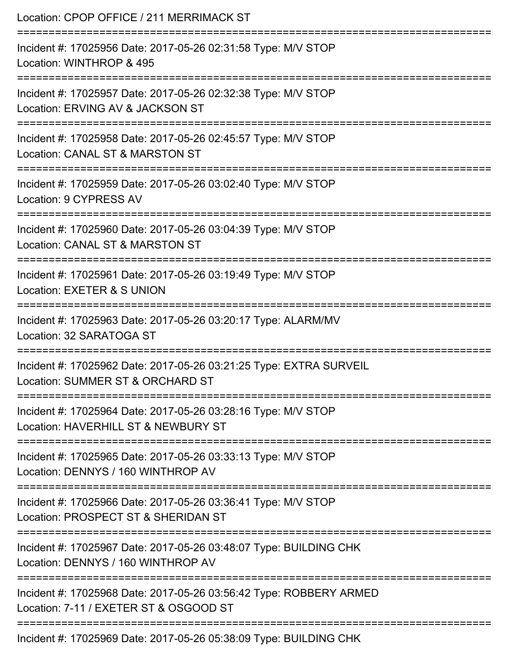| Location: CPOP OFFICE / 211 MERRIMACK ST                                                                                   |
|----------------------------------------------------------------------------------------------------------------------------|
| Incident #: 17025956 Date: 2017-05-26 02:31:58 Type: M/V STOP<br>Location: WINTHROP & 495                                  |
| Incident #: 17025957 Date: 2017-05-26 02:32:38 Type: M/V STOP<br>Location: ERVING AV & JACKSON ST                          |
| Incident #: 17025958 Date: 2017-05-26 02:45:57 Type: M/V STOP<br>Location: CANAL ST & MARSTON ST                           |
| :===================<br>Incident #: 17025959 Date: 2017-05-26 03:02:40 Type: M/V STOP<br>Location: 9 CYPRESS AV            |
| Incident #: 17025960 Date: 2017-05-26 03:04:39 Type: M/V STOP<br>Location: CANAL ST & MARSTON ST                           |
| Incident #: 17025961 Date: 2017-05-26 03:19:49 Type: M/V STOP<br>Location: EXETER & S UNION                                |
| Incident #: 17025963 Date: 2017-05-26 03:20:17 Type: ALARM/MV<br>Location: 32 SARATOGA ST                                  |
| Incident #: 17025962 Date: 2017-05-26 03:21:25 Type: EXTRA SURVEIL<br>Location: SUMMER ST & ORCHARD ST                     |
| Incident #: 17025964 Date: 2017-05-26 03:28:16 Type: M/V STOP<br>Location: HAVERHILL ST & NEWBURY ST                       |
| Incident #: 17025965 Date: 2017-05-26 03:33:13 Type: M/V STOP<br>Location: DENNYS / 160 WINTHROP AV                        |
| ------------------<br>Incident #: 17025966 Date: 2017-05-26 03:36:41 Type: M/V STOP<br>Location: PROSPECT ST & SHERIDAN ST |
| Incident #: 17025967 Date: 2017-05-26 03:48:07 Type: BUILDING CHK<br>Location: DENNYS / 160 WINTHROP AV                    |
| Incident #: 17025968 Date: 2017-05-26 03:56:42 Type: ROBBERY ARMED<br>Location: 7-11 / EXETER ST & OSGOOD ST               |
| Incident #: 17025969 Date: 2017-05-26 05:38:09 Type: BUILDING CHK                                                          |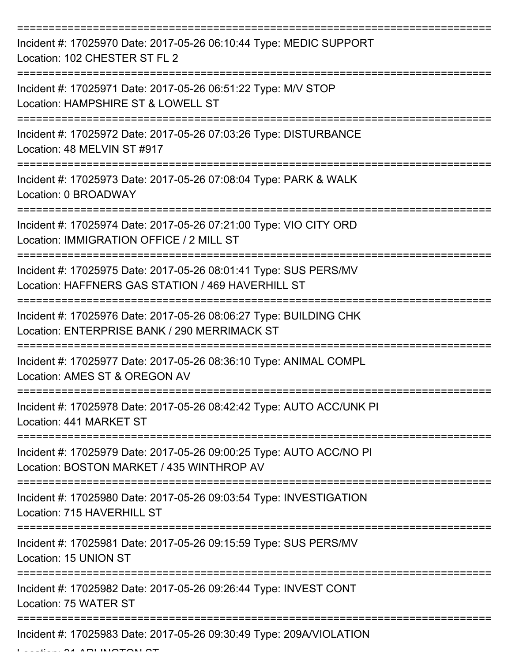| Incident #: 17025970 Date: 2017-05-26 06:10:44 Type: MEDIC SUPPORT<br>Location: 102 CHESTER ST FL 2                               |
|-----------------------------------------------------------------------------------------------------------------------------------|
| Incident #: 17025971 Date: 2017-05-26 06:51:22 Type: M/V STOP<br>Location: HAMPSHIRE ST & LOWELL ST                               |
| Incident #: 17025972 Date: 2017-05-26 07:03:26 Type: DISTURBANCE<br>Location: 48 MELVIN ST #917                                   |
| Incident #: 17025973 Date: 2017-05-26 07:08:04 Type: PARK & WALK<br>Location: 0 BROADWAY                                          |
| Incident #: 17025974 Date: 2017-05-26 07:21:00 Type: VIO CITY ORD<br>Location: IMMIGRATION OFFICE / 2 MILL ST                     |
| Incident #: 17025975 Date: 2017-05-26 08:01:41 Type: SUS PERS/MV<br>Location: HAFFNERS GAS STATION / 469 HAVERHILL ST             |
| Incident #: 17025976 Date: 2017-05-26 08:06:27 Type: BUILDING CHK<br>Location: ENTERPRISE BANK / 290 MERRIMACK ST                 |
| Incident #: 17025977 Date: 2017-05-26 08:36:10 Type: ANIMAL COMPL<br>Location: AMES ST & OREGON AV                                |
| Incident #: 17025978 Date: 2017-05-26 08:42:42 Type: AUTO ACC/UNK PI<br>Location: 441 MARKET ST                                   |
| Incident #: 17025979 Date: 2017-05-26 09:00:25 Type: AUTO ACC/NO PI<br>Location: BOSTON MARKET / 435 WINTHROP AV                  |
| Incident #: 17025980 Date: 2017-05-26 09:03:54 Type: INVESTIGATION<br>Location: 715 HAVERHILL ST                                  |
| ;===================================<br>Incident #: 17025981 Date: 2017-05-26 09:15:59 Type: SUS PERS/MV<br>Location: 15 UNION ST |
| Incident #: 17025982 Date: 2017-05-26 09:26:44 Type: INVEST CONT<br>Location: 75 WATER ST                                         |
| Incident #: 17025983 Date: 2017-05-26 09:30:49 Type: 209A/VIOLATION                                                               |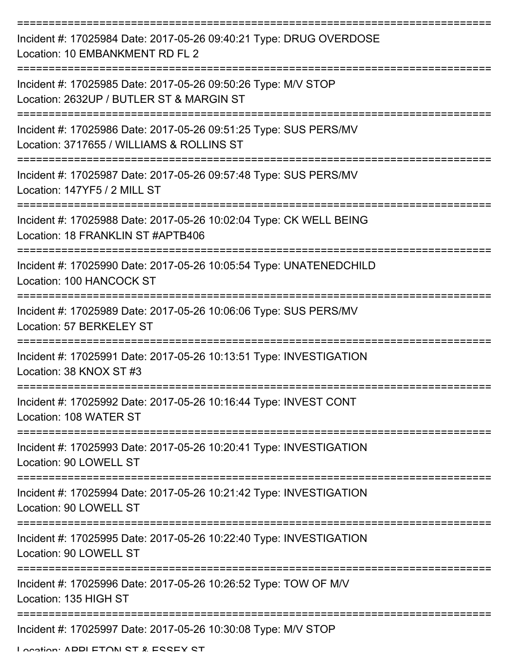| Incident #: 17025984 Date: 2017-05-26 09:40:21 Type: DRUG OVERDOSE<br>Location: 10 EMBANKMENT RD FL 2         |
|---------------------------------------------------------------------------------------------------------------|
| Incident #: 17025985 Date: 2017-05-26 09:50:26 Type: M/V STOP<br>Location: 2632UP / BUTLER ST & MARGIN ST     |
| Incident #: 17025986 Date: 2017-05-26 09:51:25 Type: SUS PERS/MV<br>Location: 3717655 / WILLIAMS & ROLLINS ST |
| Incident #: 17025987 Date: 2017-05-26 09:57:48 Type: SUS PERS/MV<br>Location: 147YF5 / 2 MILL ST              |
| Incident #: 17025988 Date: 2017-05-26 10:02:04 Type: CK WELL BEING<br>Location: 18 FRANKLIN ST #APTB406       |
| Incident #: 17025990 Date: 2017-05-26 10:05:54 Type: UNATENEDCHILD<br>Location: 100 HANCOCK ST                |
| Incident #: 17025989 Date: 2017-05-26 10:06:06 Type: SUS PERS/MV<br>Location: 57 BERKELEY ST                  |
| Incident #: 17025991 Date: 2017-05-26 10:13:51 Type: INVESTIGATION<br>Location: 38 KNOX ST #3                 |
| Incident #: 17025992 Date: 2017-05-26 10:16:44 Type: INVEST CONT<br>Location: 108 WATER ST                    |
| Incident #: 17025993 Date: 2017-05-26 10:20:41 Type: INVESTIGATION<br>Location: 90 LOWELL ST                  |
| Incident #: 17025994 Date: 2017-05-26 10:21:42 Type: INVESTIGATION<br>Location: 90 LOWELL ST                  |
| Incident #: 17025995 Date: 2017-05-26 10:22:40 Type: INVESTIGATION<br>Location: 90 LOWELL ST                  |
| Incident #: 17025996 Date: 2017-05-26 10:26:52 Type: TOW OF M/V<br>Location: 135 HIGH ST                      |
| Incident #: 17025997 Date: 2017-05-26 10:30:08 Type: M/V STOP                                                 |

Location: ADDI ETAN ST & ESSEY ST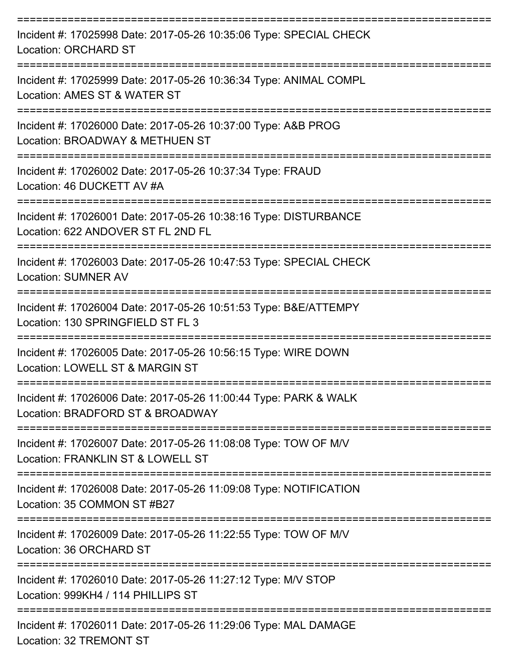| Incident #: 17025998 Date: 2017-05-26 10:35:06 Type: SPECIAL CHECK<br><b>Location: ORCHARD ST</b>      |
|--------------------------------------------------------------------------------------------------------|
| Incident #: 17025999 Date: 2017-05-26 10:36:34 Type: ANIMAL COMPL<br>Location: AMES ST & WATER ST      |
| Incident #: 17026000 Date: 2017-05-26 10:37:00 Type: A&B PROG<br>Location: BROADWAY & METHUEN ST       |
| Incident #: 17026002 Date: 2017-05-26 10:37:34 Type: FRAUD<br>Location: 46 DUCKETT AV #A               |
| Incident #: 17026001 Date: 2017-05-26 10:38:16 Type: DISTURBANCE<br>Location: 622 ANDOVER ST FL 2ND FL |
| Incident #: 17026003 Date: 2017-05-26 10:47:53 Type: SPECIAL CHECK<br><b>Location: SUMNER AV</b>       |
| Incident #: 17026004 Date: 2017-05-26 10:51:53 Type: B&E/ATTEMPY<br>Location: 130 SPRINGFIELD ST FL 3  |
| Incident #: 17026005 Date: 2017-05-26 10:56:15 Type: WIRE DOWN<br>Location: LOWELL ST & MARGIN ST      |
| Incident #: 17026006 Date: 2017-05-26 11:00:44 Type: PARK & WALK<br>Location: BRADFORD ST & BROADWAY   |
| Incident #: 17026007 Date: 2017-05-26 11:08:08 Type: TOW OF M/V<br>Location: FRANKLIN ST & LOWELL ST   |
| Incident #: 17026008 Date: 2017-05-26 11:09:08 Type: NOTIFICATION<br>Location: 35 COMMON ST #B27       |
| Incident #: 17026009 Date: 2017-05-26 11:22:55 Type: TOW OF M/V<br>Location: 36 ORCHARD ST             |
| Incident #: 17026010 Date: 2017-05-26 11:27:12 Type: M/V STOP<br>Location: 999KH4 / 114 PHILLIPS ST    |
| Incident #: 17026011 Date: 2017-05-26 11:29:06 Type: MAL DAMAGE<br>Location: 32 TREMONT ST             |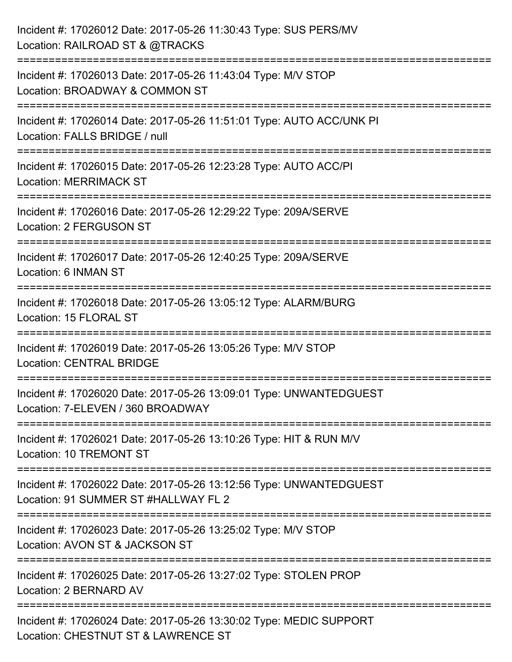| Incident #: 17026012 Date: 2017-05-26 11:30:43 Type: SUS PERS/MV<br>Location: RAILROAD ST & @TRACKS                                 |
|-------------------------------------------------------------------------------------------------------------------------------------|
| :==========================<br>Incident #: 17026013 Date: 2017-05-26 11:43:04 Type: M/V STOP<br>Location: BROADWAY & COMMON ST      |
| Incident #: 17026014 Date: 2017-05-26 11:51:01 Type: AUTO ACC/UNK PI<br>Location: FALLS BRIDGE / null<br>:========================= |
| Incident #: 17026015 Date: 2017-05-26 12:23:28 Type: AUTO ACC/PI<br><b>Location: MERRIMACK ST</b>                                   |
| Incident #: 17026016 Date: 2017-05-26 12:29:22 Type: 209A/SERVE<br><b>Location: 2 FERGUSON ST</b>                                   |
| Incident #: 17026017 Date: 2017-05-26 12:40:25 Type: 209A/SERVE<br>Location: 6 INMAN ST<br>:=================================       |
| Incident #: 17026018 Date: 2017-05-26 13:05:12 Type: ALARM/BURG<br>Location: 15 FLORAL ST                                           |
| Incident #: 17026019 Date: 2017-05-26 13:05:26 Type: M/V STOP<br><b>Location: CENTRAL BRIDGE</b>                                    |
| Incident #: 17026020 Date: 2017-05-26 13:09:01 Type: UNWANTEDGUEST<br>Location: 7-ELEVEN / 360 BROADWAY                             |
| Incident #: 17026021 Date: 2017-05-26 13:10:26 Type: HIT & RUN M/V<br>Location: 10 TREMONT ST                                       |
| Incident #: 17026022 Date: 2017-05-26 13:12:56 Type: UNWANTEDGUEST<br>Location: 91 SUMMER ST #HALLWAY FL 2                          |
| Incident #: 17026023 Date: 2017-05-26 13:25:02 Type: M/V STOP<br>Location: AVON ST & JACKSON ST                                     |
| Incident #: 17026025 Date: 2017-05-26 13:27:02 Type: STOLEN PROP<br>Location: 2 BERNARD AV                                          |
| Incident #: 17026024 Date: 2017-05-26 13:30:02 Type: MEDIC SUPPORT<br>Location: CHESTNUT ST & LAWRENCE ST                           |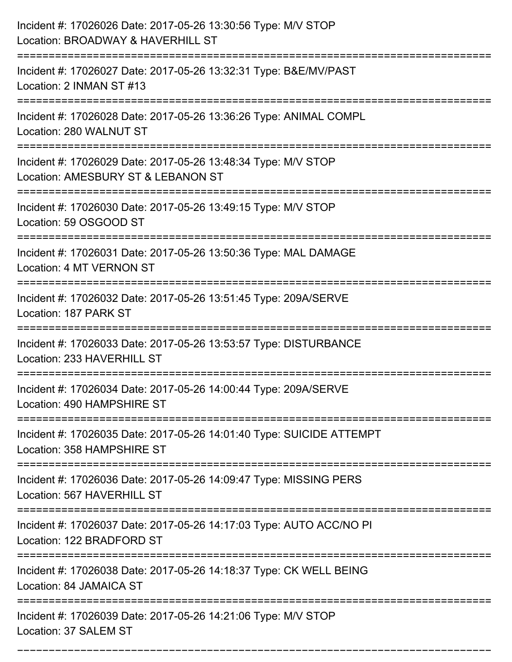| Incident #: 17026026 Date: 2017-05-26 13:30:56 Type: M/V STOP<br>Location: BROADWAY & HAVERHILL ST                            |
|-------------------------------------------------------------------------------------------------------------------------------|
| Incident #: 17026027 Date: 2017-05-26 13:32:31 Type: B&E/MV/PAST<br>Location: 2 INMAN ST #13                                  |
| Incident #: 17026028 Date: 2017-05-26 13:36:26 Type: ANIMAL COMPL<br>Location: 280 WALNUT ST                                  |
| Incident #: 17026029 Date: 2017-05-26 13:48:34 Type: M/V STOP<br>Location: AMESBURY ST & LEBANON ST                           |
| Incident #: 17026030 Date: 2017-05-26 13:49:15 Type: M/V STOP<br>Location: 59 OSGOOD ST                                       |
| Incident #: 17026031 Date: 2017-05-26 13:50:36 Type: MAL DAMAGE<br>Location: 4 MT VERNON ST                                   |
| Incident #: 17026032 Date: 2017-05-26 13:51:45 Type: 209A/SERVE<br>Location: 187 PARK ST                                      |
| Incident #: 17026033 Date: 2017-05-26 13:53:57 Type: DISTURBANCE<br>Location: 233 HAVERHILL ST                                |
| Incident #: 17026034 Date: 2017-05-26 14:00:44 Type: 209A/SERVE<br>Location: 490 HAMPSHIRE ST                                 |
| Incident #: 17026035 Date: 2017-05-26 14:01:40 Type: SUICIDE ATTEMPT<br>Location: 358 HAMPSHIRE ST                            |
| Incident #: 17026036 Date: 2017-05-26 14:09:47 Type: MISSING PERS<br>Location: 567 HAVERHILL ST                               |
| Incident #: 17026037 Date: 2017-05-26 14:17:03 Type: AUTO ACC/NO PI<br>Location: 122 BRADFORD ST<br>========================= |
| Incident #: 17026038 Date: 2017-05-26 14:18:37 Type: CK WELL BEING<br>Location: 84 JAMAICA ST                                 |
| Incident #: 17026039 Date: 2017-05-26 14:21:06 Type: M/V STOP<br>Location: 37 SALEM ST                                        |

===========================================================================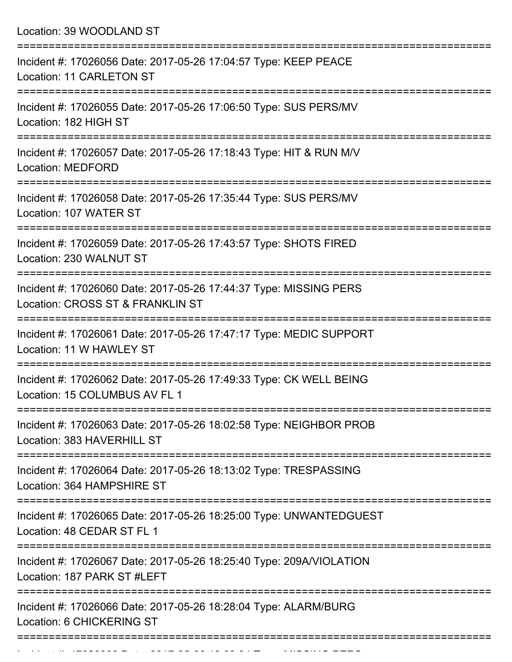Location: 39 WOODLAND ST

| Incident #: 17026056 Date: 2017-05-26 17:04:57 Type: KEEP PEACE<br><b>Location: 11 CARLETON ST</b>    |
|-------------------------------------------------------------------------------------------------------|
| Incident #: 17026055 Date: 2017-05-26 17:06:50 Type: SUS PERS/MV<br>Location: 182 HIGH ST             |
| Incident #: 17026057 Date: 2017-05-26 17:18:43 Type: HIT & RUN M/V<br><b>Location: MEDFORD</b>        |
| Incident #: 17026058 Date: 2017-05-26 17:35:44 Type: SUS PERS/MV<br>Location: 107 WATER ST            |
| Incident #: 17026059 Date: 2017-05-26 17:43:57 Type: SHOTS FIRED<br>Location: 230 WALNUT ST           |
| Incident #: 17026060 Date: 2017-05-26 17:44:37 Type: MISSING PERS<br>Location: CROSS ST & FRANKLIN ST |
| Incident #: 17026061 Date: 2017-05-26 17:47:17 Type: MEDIC SUPPORT<br>Location: 11 W HAWLEY ST        |
| Incident #: 17026062 Date: 2017-05-26 17:49:33 Type: CK WELL BEING<br>Location: 15 COLUMBUS AV FL 1   |
| Incident #: 17026063 Date: 2017-05-26 18:02:58 Type: NEIGHBOR PROB<br>Location: 383 HAVERHILL ST      |
| Incident #: 17026064 Date: 2017-05-26 18:13:02 Type: TRESPASSING<br>Location: 364 HAMPSHIRE ST        |
| Incident #: 17026065 Date: 2017-05-26 18:25:00 Type: UNWANTEDGUEST<br>Location: 48 CEDAR ST FL 1      |
| Incident #: 17026067 Date: 2017-05-26 18:25:40 Type: 209A/VIOLATION<br>Location: 187 PARK ST #LEFT    |
| Incident #: 17026066 Date: 2017-05-26 18:28:04 Type: ALARM/BURG<br><b>Location: 6 CHICKERING ST</b>   |
|                                                                                                       |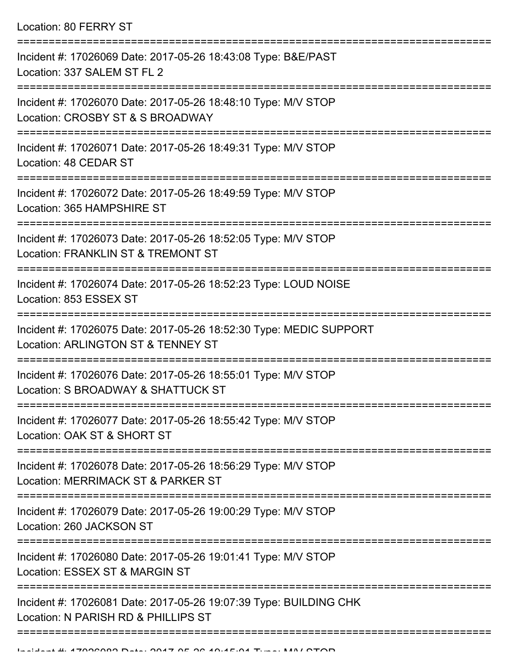Location: 80 FERRY ST

| Incident #: 17026069 Date: 2017-05-26 18:43:08 Type: B&E/PAST<br>Location: 337 SALEM ST FL 2             |
|----------------------------------------------------------------------------------------------------------|
| Incident #: 17026070 Date: 2017-05-26 18:48:10 Type: M/V STOP<br>Location: CROSBY ST & S BROADWAY        |
| Incident #: 17026071 Date: 2017-05-26 18:49:31 Type: M/V STOP<br>Location: 48 CEDAR ST                   |
| Incident #: 17026072 Date: 2017-05-26 18:49:59 Type: M/V STOP<br>Location: 365 HAMPSHIRE ST              |
| Incident #: 17026073 Date: 2017-05-26 18:52:05 Type: M/V STOP<br>Location: FRANKLIN ST & TREMONT ST      |
| Incident #: 17026074 Date: 2017-05-26 18:52:23 Type: LOUD NOISE<br>Location: 853 ESSEX ST                |
| Incident #: 17026075 Date: 2017-05-26 18:52:30 Type: MEDIC SUPPORT<br>Location: ARLINGTON ST & TENNEY ST |
| Incident #: 17026076 Date: 2017-05-26 18:55:01 Type: M/V STOP<br>Location: S BROADWAY & SHATTUCK ST      |
| Incident #: 17026077 Date: 2017-05-26 18:55:42 Type: M/V STOP<br>Location: OAK ST & SHORT ST             |
| Incident #: 17026078 Date: 2017-05-26 18:56:29 Type: M/V STOP<br>Location: MERRIMACK ST & PARKER ST      |
| Incident #: 17026079 Date: 2017-05-26 19:00:29 Type: M/V STOP<br>Location: 260 JACKSON ST                |
| Incident #: 17026080 Date: 2017-05-26 19:01:41 Type: M/V STOP<br>Location: ESSEX ST & MARGIN ST          |
| Incident #: 17026081 Date: 2017-05-26 19:07:39 Type: BUILDING CHK<br>Location: N PARISH RD & PHILLIPS ST |
|                                                                                                          |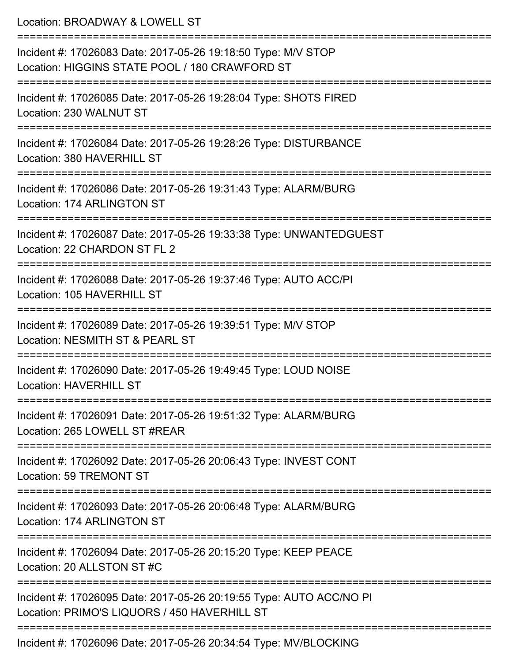| Location: BROADWAY & LOWELL ST                                                                                            |  |
|---------------------------------------------------------------------------------------------------------------------------|--|
| Incident #: 17026083 Date: 2017-05-26 19:18:50 Type: M/V STOP<br>Location: HIGGINS STATE POOL / 180 CRAWFORD ST           |  |
| :=========================<br>Incident #: 17026085 Date: 2017-05-26 19:28:04 Type: SHOTS FIRED<br>Location: 230 WALNUT ST |  |
| Incident #: 17026084 Date: 2017-05-26 19:28:26 Type: DISTURBANCE<br>Location: 380 HAVERHILL ST                            |  |
| Incident #: 17026086 Date: 2017-05-26 19:31:43 Type: ALARM/BURG<br>Location: 174 ARLINGTON ST                             |  |
| Incident #: 17026087 Date: 2017-05-26 19:33:38 Type: UNWANTEDGUEST<br>Location: 22 CHARDON ST FL 2                        |  |
| Incident #: 17026088 Date: 2017-05-26 19:37:46 Type: AUTO ACC/PI<br>Location: 105 HAVERHILL ST                            |  |
| Incident #: 17026089 Date: 2017-05-26 19:39:51 Type: M/V STOP<br>Location: NESMITH ST & PEARL ST                          |  |
| Incident #: 17026090 Date: 2017-05-26 19:49:45 Type: LOUD NOISE<br>Location: HAVERHILL ST                                 |  |
| Incident #: 17026091 Date: 2017-05-26 19:51:32 Type: ALARM/BURG<br>Location: 265 LOWELL ST #REAR                          |  |
| Incident #: 17026092 Date: 2017-05-26 20:06:43 Type: INVEST CONT<br><b>Location: 59 TREMONT ST</b>                        |  |
| Incident #: 17026093 Date: 2017-05-26 20:06:48 Type: ALARM/BURG<br>Location: 174 ARLINGTON ST                             |  |
| Incident #: 17026094 Date: 2017-05-26 20:15:20 Type: KEEP PEACE<br>Location: 20 ALLSTON ST #C                             |  |
| Incident #: 17026095 Date: 2017-05-26 20:19:55 Type: AUTO ACC/NO PI<br>Location: PRIMO'S LIQUORS / 450 HAVERHILL ST       |  |
| $Incidont #: 17026006$ Dato: $2017$ OE 26 $20:24:54$ Type: $M//DI$ OCKINC                                                 |  |

Incident #: 17026096 Date: 2017-05-26 20:34:54 Type: MV/BLOCKING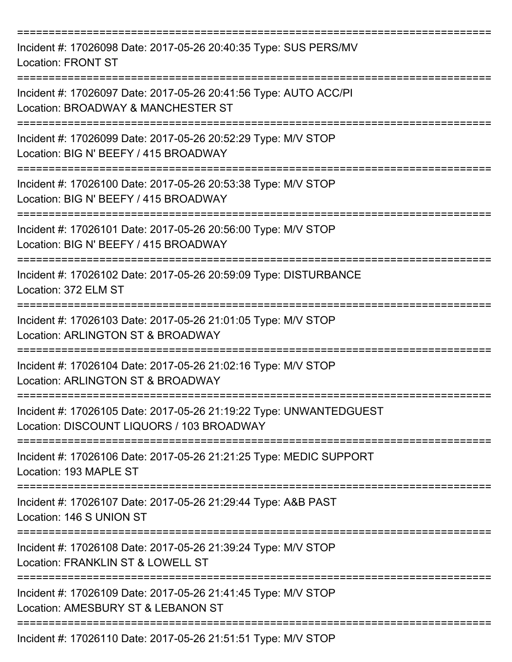| Incident #: 17026098 Date: 2017-05-26 20:40:35 Type: SUS PERS/MV<br><b>Location: FRONT ST</b>                               |
|-----------------------------------------------------------------------------------------------------------------------------|
| Incident #: 17026097 Date: 2017-05-26 20:41:56 Type: AUTO ACC/PI<br>Location: BROADWAY & MANCHESTER ST                      |
| Incident #: 17026099 Date: 2017-05-26 20:52:29 Type: M/V STOP<br>Location: BIG N' BEEFY / 415 BROADWAY                      |
| Incident #: 17026100 Date: 2017-05-26 20:53:38 Type: M/V STOP<br>Location: BIG N' BEEFY / 415 BROADWAY                      |
| Incident #: 17026101 Date: 2017-05-26 20:56:00 Type: M/V STOP<br>Location: BIG N' BEEFY / 415 BROADWAY                      |
| Incident #: 17026102 Date: 2017-05-26 20:59:09 Type: DISTURBANCE<br>Location: 372 ELM ST                                    |
| ---------------------<br>Incident #: 17026103 Date: 2017-05-26 21:01:05 Type: M/V STOP<br>Location: ARLINGTON ST & BROADWAY |
| Incident #: 17026104 Date: 2017-05-26 21:02:16 Type: M/V STOP<br>Location: ARLINGTON ST & BROADWAY                          |
| Incident #: 17026105 Date: 2017-05-26 21:19:22 Type: UNWANTEDGUEST<br>Location: DISCOUNT LIQUORS / 103 BROADWAY             |
| Incident #: 17026106 Date: 2017-05-26 21:21:25 Type: MEDIC SUPPORT<br>Location: 193 MAPLE ST                                |
| Incident #: 17026107 Date: 2017-05-26 21:29:44 Type: A&B PAST<br>Location: 146 S UNION ST                                   |
| Incident #: 17026108 Date: 2017-05-26 21:39:24 Type: M/V STOP<br>Location: FRANKLIN ST & LOWELL ST                          |
| Incident #: 17026109 Date: 2017-05-26 21:41:45 Type: M/V STOP<br>Location: AMESBURY ST & LEBANON ST                         |
| Incident #: 17026110 Date: 2017-05-26 21:51:51 Type: M/V STOP                                                               |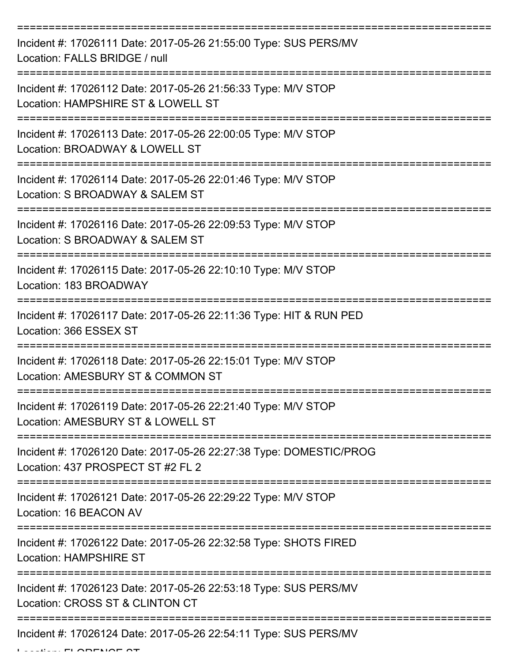| Incident #: 17026111 Date: 2017-05-26 21:55:00 Type: SUS PERS/MV<br>Location: FALLS BRIDGE / null       |
|---------------------------------------------------------------------------------------------------------|
| Incident #: 17026112 Date: 2017-05-26 21:56:33 Type: M/V STOP<br>Location: HAMPSHIRE ST & LOWELL ST     |
| Incident #: 17026113 Date: 2017-05-26 22:00:05 Type: M/V STOP<br>Location: BROADWAY & LOWELL ST         |
| Incident #: 17026114 Date: 2017-05-26 22:01:46 Type: M/V STOP<br>Location: S BROADWAY & SALEM ST        |
| Incident #: 17026116 Date: 2017-05-26 22:09:53 Type: M/V STOP<br>Location: S BROADWAY & SALEM ST        |
| Incident #: 17026115 Date: 2017-05-26 22:10:10 Type: M/V STOP<br>Location: 183 BROADWAY                 |
| Incident #: 17026117 Date: 2017-05-26 22:11:36 Type: HIT & RUN PED<br>Location: 366 ESSEX ST            |
| Incident #: 17026118 Date: 2017-05-26 22:15:01 Type: M/V STOP<br>Location: AMESBURY ST & COMMON ST      |
| Incident #: 17026119 Date: 2017-05-26 22:21:40 Type: M/V STOP<br>Location: AMESBURY ST & LOWELL ST      |
| Incident #: 17026120 Date: 2017-05-26 22:27:38 Type: DOMESTIC/PROG<br>Location: 437 PROSPECT ST #2 FL 2 |
| Incident #: 17026121 Date: 2017-05-26 22:29:22 Type: M/V STOP<br>Location: 16 BEACON AV                 |
| Incident #: 17026122 Date: 2017-05-26 22:32:58 Type: SHOTS FIRED<br><b>Location: HAMPSHIRE ST</b>       |
| Incident #: 17026123 Date: 2017-05-26 22:53:18 Type: SUS PERS/MV<br>Location: CROSS ST & CLINTON CT     |
| Incident #: 17026124 Date: 2017-05-26 22:54:11 Type: SUS PERS/MV                                        |

 $L$ .... $F$ I $\wedge$ meri $\wedge$ meri $\wedge$ meri $\wedge$ meri $\wedge$ meri $\wedge$ meri $\wedge$ meri $\wedge$ meri $\wedge$ meri $\wedge$ meri $\wedge$ meri $\wedge$ meri $\wedge$ meri $\wedge$ meri $\wedge$ meri $\wedge$ meri $\wedge$ meri $\wedge$ meri $\wedge$ meri $\wedge$ meri $\wedge$ meri $\wedge$ meri $\wedge$ meri $\w$